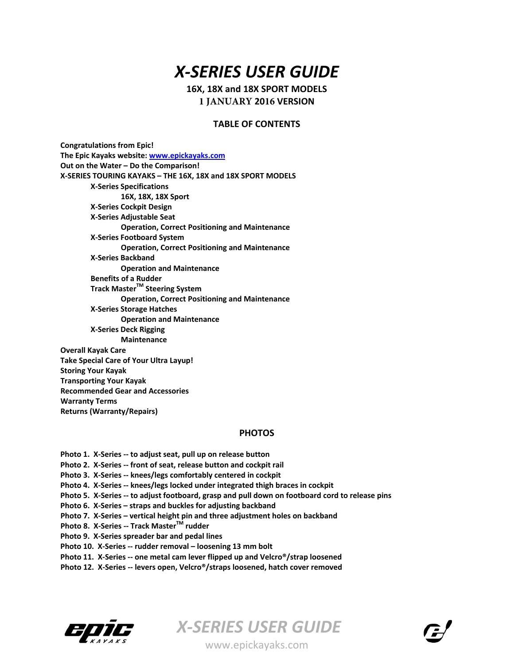# *X‐SERIES USER GUIDE*

**16X, 18X and 18X SPORT MODELS 1 JANUARY 2016 VERSION**

#### **TABLE OF CONTENTS**

**Congratulations from Epic! The Epic Kayaks website: www.epickayaks.com Out on the Water – Do the Comparison! X‐SERIES TOURING KAYAKS – THE 16X, 18X and 18X SPORT MODELS X‐Series Specifications 16X, 18X, 18X Sport X‐Series Cockpit Design X‐Series Adjustable Seat Operation, Correct Positioning and Maintenance X‐Series Footboard System Operation, Correct Positioning and Maintenance X‐Series Backband Operation and Maintenance Benefits of a Rudder Track MasterTM Steering System Operation, Correct Positioning and Maintenance X‐Series Storage Hatches Operation and Maintenance X‐Series Deck Rigging Maintenance Overall Kayak Care Take Special Care of Your Ultra Layup! Storing Your Kayak Transporting Your Kayak Recommended Gear and Accessories Warranty Terms**

**Returns (Warranty/Repairs)**

## **PHOTOS**

**Photo 1. X‐Series ‐‐ to adjust seat, pull up on release button Photo 2. X‐Series ‐‐ front of seat, release button and cockpit rail Photo 3. X‐Series ‐‐ knees/legs comfortably centered in cockpit Photo 4. X‐Series ‐‐ knees/legs locked under integrated thigh braces in cockpit** Photo 5. X-Series -- to adjust footboard, grasp and pull down on footboard cord to release pins **Photo 6. X‐Series – straps and buckles for adjusting backband Photo 7. X‐Series – vertical height pin and three adjustment holes on backband Photo 8. X‐Series ‐‐ Track MasterTM rudder Photo 9. X‐Series spreader bar and pedal lines Photo 10. X‐Series ‐‐ rudder removal – loosening 13 mm bolt Photo 11. X‐Series ‐‐ one metal cam lever flipped up and Velcro®/strap loosened Photo 12. X‐Series ‐‐ levers open, Velcro®/straps loosened, hatch cover removed**



*X‐SERIES USER GUIDE*  www.epickayaks.com

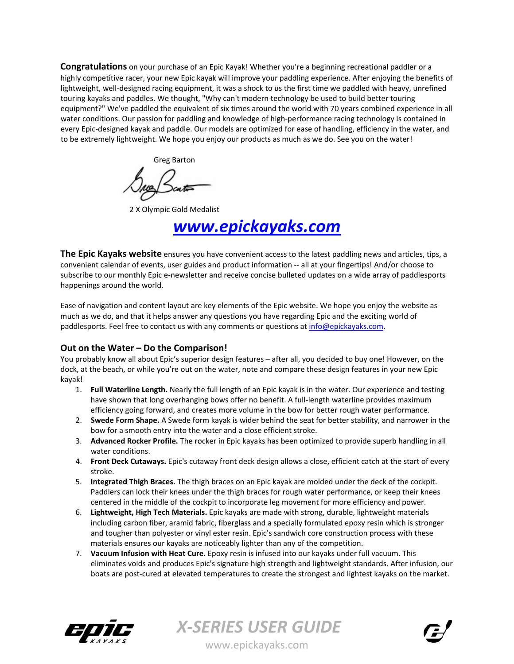**Congratulations** on your purchase of an Epic Kayak! Whether you're a beginning recreational paddler or a highly competitive racer, your new Epic kayak will improve your paddling experience. After enjoying the benefits of lightweight, well-designed racing equipment, it was a shock to us the first time we paddled with heavy, unrefined touring kayaks and paddles. We thought, "Why can't modern technology be used to build better touring equipment?" We've paddled the equivalent of six times around the world with 70 years combined experience in all water conditions. Our passion for paddling and knowledge of high-performance racing technology is contained in every Epic‐designed kayak and paddle. Our models are optimized for ease of handling, efficiency in the water, and to be extremely lightweight. We hope you enjoy our products as much as we do. See you on the water!

Greg Barton

2 X Olympic Gold Medalist

*www.epickayaks.com*

**The Epic Kayaks website** ensures you have convenient access to the latest paddling news and articles, tips, a convenient calendar of events, user guides and product information ‐‐ all at your fingertips! And/or choose to subscribe to our monthly Epic e‐newsletter and receive concise bulleted updates on a wide array of paddlesports happenings around the world.

Ease of navigation and content layout are key elements of the Epic website. We hope you enjoy the website as much as we do, and that it helps answer any questions you have regarding Epic and the exciting world of paddlesports. Feel free to contact us with any comments or questions at info@epickayaks.com.

## **Out on the Water – Do the Comparison!**

You probably know all about Epic's superior design features – after all, you decided to buy one! However, on the dock, at the beach, or while you're out on the water, note and compare these design features in your new Epic kayak!

- 1. **Full Waterline Length.** Nearly the full length of an Epic kayak is in the water. Our experience and testing have shown that long overhanging bows offer no benefit. A full-length waterline provides maximum efficiency going forward, and creates more volume in the bow for better rough water performance.
- 2. **Swede Form Shape.** A Swede form kayak is wider behind the seat for better stability, and narrower in the bow for a smooth entry into the water and a close efficient stroke.
- 3. **Advanced Rocker Profile.** The rocker in Epic kayaks has been optimized to provide superb handling in all water conditions.
- 4. **Front Deck Cutaways.** Epic's cutaway front deck design allows a close, efficient catch at the start of every stroke.
- 5. **Integrated Thigh Braces.** The thigh braces on an Epic kayak are molded under the deck of the cockpit. Paddlers can lock their knees under the thigh braces for rough water performance, or keep their knees centered in the middle of the cockpit to incorporate leg movement for more efficiency and power.
- 6. **Lightweight, High Tech Materials.** Epic kayaks are made with strong, durable, lightweight materials including carbon fiber, aramid fabric, fiberglass and a specially formulated epoxy resin which is stronger and tougher than polyester or vinyl ester resin. Epic's sandwich core construction process with these materials ensures our kayaks are noticeably lighter than any of the competition.
- 7. **Vacuum Infusion with Heat Cure.** Epoxy resin is infused into our kayaks under full vacuum. This eliminates voids and produces Epic's signature high strength and lightweight standards. After infusion, our boats are post-cured at elevated temperatures to create the strongest and lightest kayaks on the market.





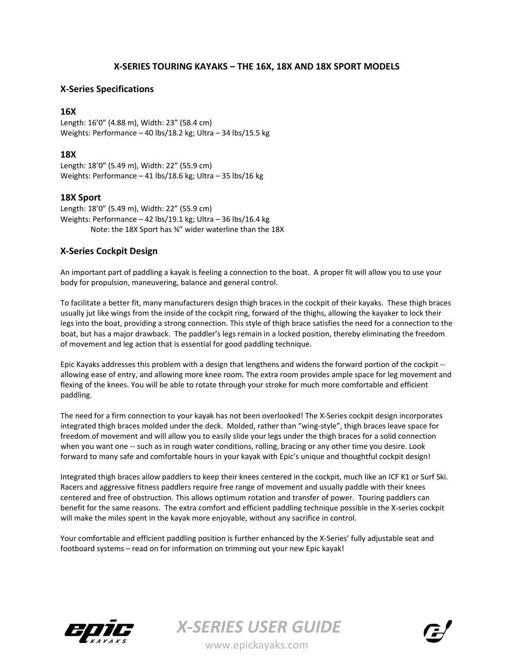# **X‐SERIES TOURING KAYAKS – THE 16X, 18X AND 18X SPORT MODELS**

# **X‐Series Specifications**

## **16X**

Length: 16'0" (4.88 m), Width: 23" (58.4 cm) Weights: Performance – 40 lbs/18.2 kg; Ultra – 34 lbs/15.5 kg

## **18X**

Length: 18'0" (5.49 m), Width: 22" (55.9 cm) Weights: Performance – 41 lbs/18.6 kg; Ultra – 35 lbs/16 kg

## **18X Sport**

Length: 18'0" (5.49 m), Width: 22" (55.9 cm) Weights: Performance – 42 lbs/19.1 kg; Ultra – 36 lbs/16.4 kg Note: the 18X Sport has ¾" wider waterline than the 18X

# **X‐Series Cockpit Design**

An important part of paddling a kayak is feeling a connection to the boat. A proper fit will allow you to use your body for propulsion, maneuvering, balance and general control.

To facilitate a better fit, many manufacturers design thigh braces in the cockpit of their kayaks. These thigh braces usually jut like wings from the inside of the cockpit ring, forward of the thighs, allowing the kayaker to lock their legs into the boat, providing a strong connection. This style of thigh brace satisfies the need for a connection to the boat, but has a major drawback. The paddler's legs remain in a locked position, thereby eliminating the freedom of movement and leg action that is essential for good paddling technique.

Epic Kayaks addresses this problem with a design that lengthens and widens the forward portion of the cockpit ‐‐ allowing ease of entry, and allowing more knee room. The extra room provides ample space for leg movement and flexing of the knees. You will be able to rotate through your stroke for much more comfortable and efficient paddling.

The need for a firm connection to your kayak has not been overlooked! The X‐Series cockpit design incorporates integrated thigh braces molded under the deck. Molded, rather than "wing‐style", thigh braces leave space for freedom of movement and will allow you to easily slide your legs under the thigh braces for a solid connection when you want one -- such as in rough water conditions, rolling, bracing or any other time you desire. Look forward to many safe and comfortable hours in your kayak with Epic's unique and thoughtful cockpit design!

Integrated thigh braces allow paddlers to keep their knees centered in the cockpit, much like an ICF K1 or Surf Ski. Racers and aggressive fitness paddlers require free range of movement and usually paddle with their knees centered and free of obstruction. This allows optimum rotation and transfer of power. Touring paddlers can benefit for the same reasons. The extra comfort and efficient paddling technique possible in the X-series cockpit will make the miles spent in the kayak more enjoyable, without any sacrifice in control.

Your comfortable and efficient paddling position is further enhanced by the X-Series' fully adjustable seat and footboard systems – read on for information on trimming out your new Epic kayak!



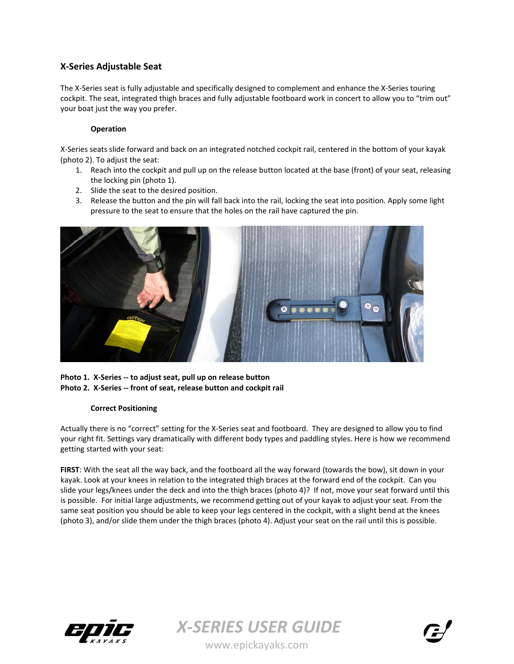# **X‐Series Adjustable Seat**

The X-Series seat is fully adjustable and specifically designed to complement and enhance the X-Series touring cockpit. The seat, integrated thigh braces and fully adjustable footboard work in concert to allow you to "trim out" your boat just the way you prefer.

### **Operation**

X‐Series seats slide forward and back on an integrated notched cockpit rail, centered in the bottom of your kayak (photo 2). To adjust the seat:

- 1. Reach into the cockpit and pull up on the release button located at the base (front) of your seat, releasing the locking pin (photo 1).
- 2. Slide the seat to the desired position.
- 3. Release the button and the pin will fall back into the rail, locking the seat into position. Apply some light pressure to the seat to ensure that the holes on the rail have captured the pin.



**Photo 1. X‐Series ‐‐ to adjust seat, pull up on release button Photo 2. X‐Series ‐‐ front of seat, release button and cockpit rail**

#### **Correct Positioning**

Actually there is no "correct" setting for the X‐Series seat and footboard. They are designed to allow you to find your right fit. Settings vary dramatically with different body types and paddling styles. Here is how we recommend getting started with your seat:

**FIRST**: With the seat all the way back, and the footboard all the way forward (towards the bow), sit down in your kayak. Look at your knees in relation to the integrated thigh braces at the forward end of the cockpit. Can you slide your legs/knees under the deck and into the thigh braces (photo 4)? If not, move your seat forward until this is possible. For initial large adjustments, we recommend getting out of your kayak to adjust your seat. From the same seat position you should be able to keep your legs centered in the cockpit, with a slight bend at the knees (photo 3), and/or slide them under the thigh braces (photo 4). Adjust your seat on the rail until this is possible.





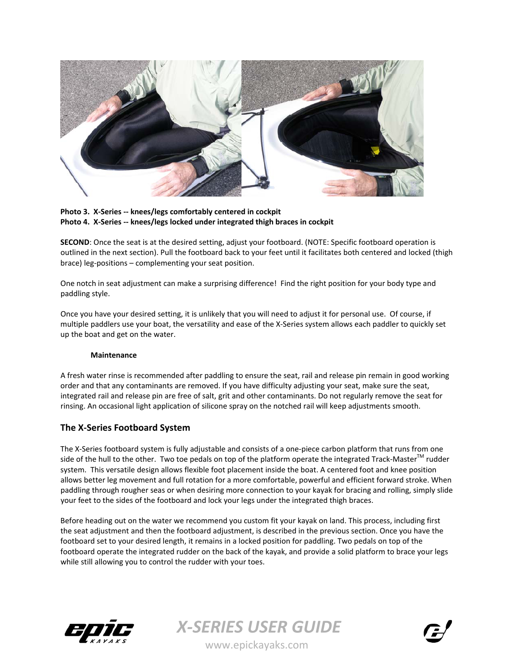



**SECOND**: Once the seat is at the desired setting, adjust your footboard. (NOTE: Specific footboard operation is outlined in the next section). Pull the footboard back to your feet until it facilitates both centered and locked (thigh brace) leg‐positions – complementing your seat position.

One notch in seat adjustment can make a surprising difference! Find the right position for your body type and paddling style.

Once you have your desired setting, it is unlikely that you will need to adjust it for personal use. Of course, if multiple paddlers use your boat, the versatility and ease of the X‐Series system allows each paddler to quickly set up the boat and get on the water.

#### **Maintenance**

A fresh water rinse is recommended after paddling to ensure the seat, rail and release pin remain in good working order and that any contaminants are removed. If you have difficulty adjusting your seat, make sure the seat, integrated rail and release pin are free of salt, grit and other contaminants. Do not regularly remove the seat for rinsing. An occasional light application of silicone spray on the notched rail will keep adjustments smooth.

## **The X‐Series Footboard System**

The X-Series footboard system is fully adjustable and consists of a one-piece carbon platform that runs from one side of the hull to the other. Two toe pedals on top of the platform operate the integrated Track-Master<sup>™</sup> rudder system. This versatile design allows flexible foot placement inside the boat. A centered foot and knee position allows better leg movement and full rotation for a more comfortable, powerful and efficient forward stroke. When paddling through rougher seas or when desiring more connection to your kayak for bracing and rolling, simply slide your feet to the sides of the footboard and lock your legs under the integrated thigh braces.

Before heading out on the water we recommend you custom fit your kayak on land. This process, including first the seat adjustment and then the footboard adjustment, is described in the previous section. Once you have the footboard set to your desired length, it remains in a locked position for paddling. Two pedals on top of the footboard operate the integrated rudder on the back of the kayak, and provide a solid platform to brace your legs while still allowing you to control the rudder with your toes.



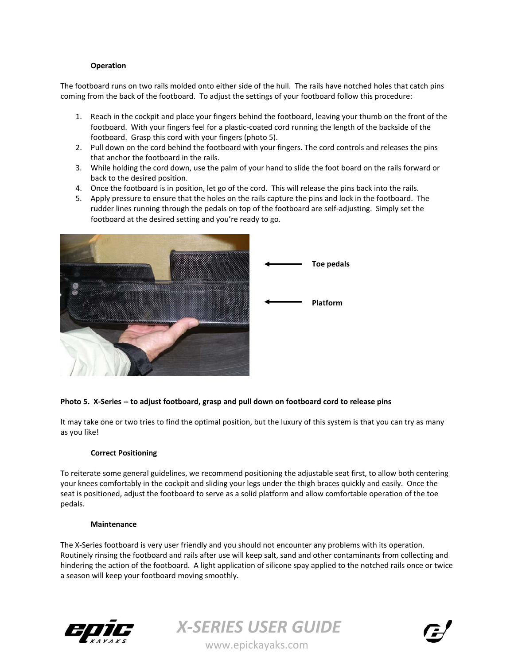#### **Operation**

The footboard runs on two rails molded onto either side of the hull. The rails have notched holes that catch pins coming from the back of the footboard. To adjust the settings of your footboard follow this procedure:

- 1. Reach in the cockpit and place your fingers behind the footboard, leaving your thumb on the front of the footboard. With your fingers feel for a plastic‐coated cord running the length of the backside of the footboard. Grasp this cord with your fingers (photo 5).
- 2. Pull down on the cord behind the footboard with your fingers. The cord controls and releases the pins that anchor the footboard in the rails.
- 3. While holding the cord down, use the palm of your hand to slide the foot board on the rails forward or back to the desired position.
- 4. Once the footboard is in position, let go of the cord. This will release the pins back into the rails.
- 5. Apply pressure to ensure that the holes on the rails capture the pins and lock in the footboard. The rudder lines running through the pedals on top of the footboard are self‐adjusting. Simply set the footboard at the desired setting and you're ready to go.



#### Photo 5. X-Series -- to adjust footboard, grasp and pull down on footboard cord to release pins

It may take one or two tries to find the optimal position, but the luxury of this system is that you can try as many as you like!

#### **Correct Positioning**

To reiterate some general guidelines, we recommend positioning the adjustable seat first, to allow both centering your knees comfortably in the cockpit and sliding your legs under the thigh braces quickly and easily. Once the seat is positioned, adjust the footboard to serve as a solid platform and allow comfortable operation of the toe pedals.

#### **Maintenance**

The X-Series footboard is very user friendly and you should not encounter any problems with its operation. Routinely rinsing the footboard and rails after use will keep salt, sand and other contaminants from collecting and hindering the action of the footboard. A light application of silicone spay applied to the notched rails once or twice a season will keep your footboard moving smoothly.





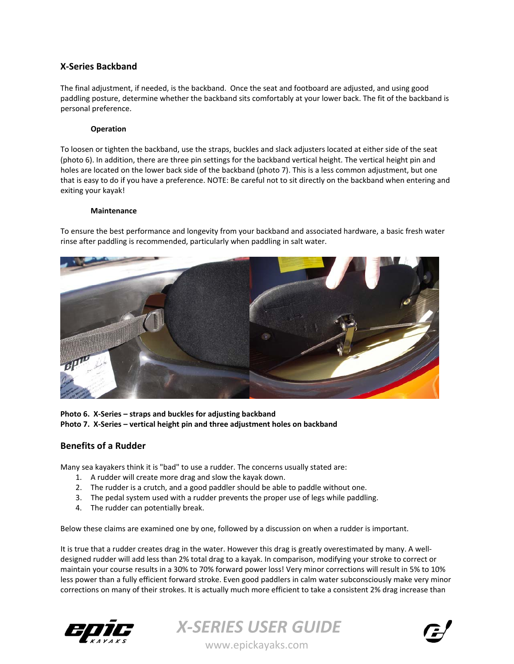# **X‐Series Backband**

The final adjustment, if needed, is the backband. Once the seat and footboard are adjusted, and using good paddling posture, determine whether the backband sits comfortably at your lower back. The fit of the backband is personal preference.

#### **Operation**

To loosen or tighten the backband, use the straps, buckles and slack adjusters located at either side of the seat (photo 6). In addition, there are three pin settings for the backband vertical height. The vertical height pin and holes are located on the lower back side of the backband (photo 7). This is a less common adjustment, but one that is easy to do if you have a preference. NOTE: Be careful not to sit directly on the backband when entering and exiting your kayak!

#### **Maintenance**

To ensure the best performance and longevity from your backband and associated hardware, a basic fresh water rinse after paddling is recommended, particularly when paddling in salt water.



**Photo 6. X‐Series – straps and buckles for adjusting backband Photo 7. X‐Series – vertical height pin and three adjustment holes on backband**

## **Benefits of a Rudder**

Many sea kayakers think it is "bad" to use a rudder. The concerns usually stated are:

- 1. A rudder will create more drag and slow the kayak down.
- 2. The rudder is a crutch, and a good paddler should be able to paddle without one.
- 3. The pedal system used with a rudder prevents the proper use of legs while paddling.
- 4. The rudder can potentially break.

Below these claims are examined one by one, followed by a discussion on when a rudder is important.

It is true that a rudder creates drag in the water. However this drag is greatly overestimated by many. A well‐ designed rudder will add less than 2% total drag to a kayak. In comparison, modifying your stroke to correct or maintain your course results in a 30% to 70% forward power loss! Very minor corrections will result in 5% to 10% less power than a fully efficient forward stroke. Even good paddlers in calm water subconsciously make very minor corrections on many of their strokes. It is actually much more efficient to take a consistent 2% drag increase than





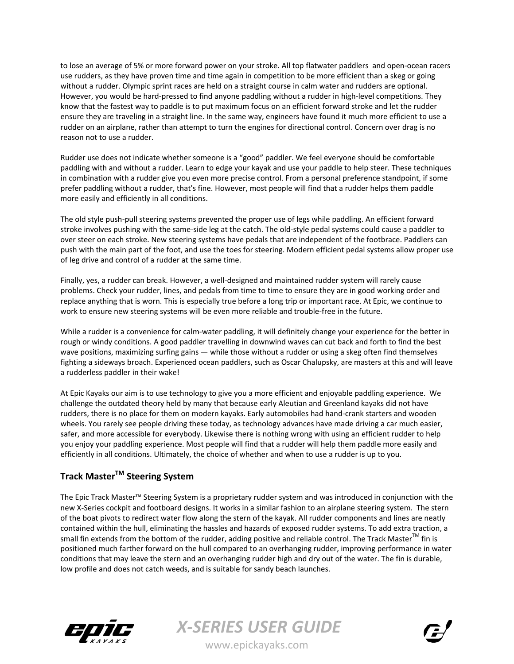to lose an average of 5% or more forward power on your stroke. All top flatwater paddlers and open‐ocean racers use rudders, as they have proven time and time again in competition to be more efficient than a skeg or going without a rudder. Olympic sprint races are held on a straight course in calm water and rudders are optional. However, you would be hard-pressed to find anyone paddling without a rudder in high-level competitions. They know that the fastest way to paddle is to put maximum focus on an efficient forward stroke and let the rudder ensure they are traveling in a straight line. In the same way, engineers have found it much more efficient to use a rudder on an airplane, rather than attempt to turn the engines for directional control. Concern over drag is no reason not to use a rudder.

Rudder use does not indicate whether someone is a "good" paddler. We feel everyone should be comfortable paddling with and without a rudder. Learn to edge your kayak and use your paddle to help steer. These techniques in combination with a rudder give you even more precise control. From a personal preference standpoint, if some prefer paddling without a rudder, that's fine. However, most people will find that a rudder helps them paddle more easily and efficiently in all conditions.

The old style push‐pull steering systems prevented the proper use of legs while paddling. An efficient forward stroke involves pushing with the same‐side leg at the catch. The old‐style pedal systems could cause a paddler to over steer on each stroke. New steering systems have pedals that are independent of the footbrace. Paddlers can push with the main part of the foot, and use the toes for steering. Modern efficient pedal systems allow proper use of leg drive and control of a rudder at the same time.

Finally, yes, a rudder can break. However, a well‐designed and maintained rudder system will rarely cause problems. Check your rudder, lines, and pedals from time to time to ensure they are in good working order and replace anything that is worn. This is especially true before a long trip or important race. At Epic, we continue to work to ensure new steering systems will be even more reliable and trouble-free in the future.

While a rudder is a convenience for calm-water paddling, it will definitely change your experience for the better in rough or windy conditions. A good paddler travelling in downwind waves can cut back and forth to find the best wave positions, maximizing surfing gains — while those without a rudder or using a skeg often find themselves fighting a sideways broach. Experienced ocean paddlers, such as Oscar Chalupsky, are masters at this and will leave a rudderless paddler in their wake!

At Epic Kayaks our aim is to use technology to give you a more efficient and enjoyable paddling experience. We challenge the outdated theory held by many that because early Aleutian and Greenland kayaks did not have rudders, there is no place for them on modern kayaks. Early automobiles had hand‐crank starters and wooden wheels. You rarely see people driving these today, as technology advances have made driving a car much easier, safer, and more accessible for everybody. Likewise there is nothing wrong with using an efficient rudder to help you enjoy your paddling experience. Most people will find that a rudder will help them paddle more easily and efficiently in all conditions. Ultimately, the choice of whether and when to use a rudder is up to you.

# **Track MasterTM Steering System**

The Epic Track Master™ Steering System is a proprietary rudder system and was introduced in conjunction with the new X‐Series cockpit and footboard designs. It works in a similar fashion to an airplane steering system. The stern of the boat pivots to redirect water flow along the stern of the kayak. All rudder components and lines are neatly contained within the hull, eliminating the hassles and hazards of exposed rudder systems. To add extra traction, a small fin extends from the bottom of the rudder, adding positive and reliable control. The Track Master $TM$  fin is positioned much farther forward on the hull compared to an overhanging rudder, improving performance in water conditions that may leave the stern and an overhanging rudder high and dry out of the water. The fin is durable, low profile and does not catch weeds, and is suitable for sandy beach launches.



*X‐SERIES USER GUIDE*  www.epickayaks.com

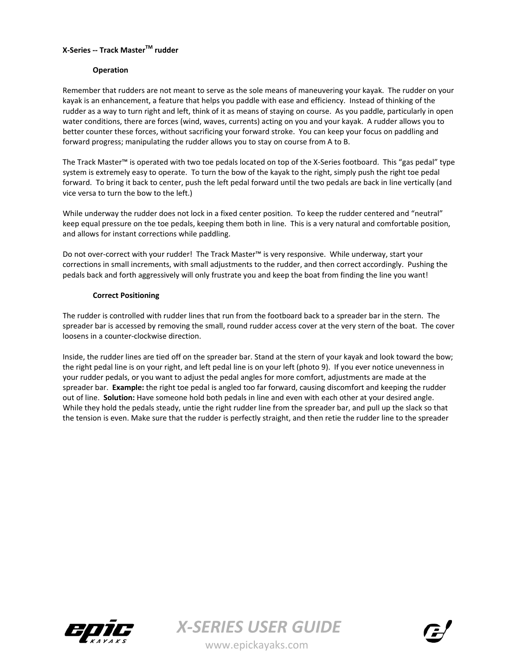## **X‐Series ‐‐ Track MasterTM rudder**

#### **Operation**

Remember that rudders are not meant to serve as the sole means of maneuvering your kayak. The rudder on your kayak is an enhancement, a feature that helps you paddle with ease and efficiency. Instead of thinking of the rudder as a way to turn right and left, think of it as means of staying on course. As you paddle, particularly in open water conditions, there are forces (wind, waves, currents) acting on you and your kayak. A rudder allows you to better counter these forces, without sacrificing your forward stroke. You can keep your focus on paddling and forward progress; manipulating the rudder allows you to stay on course from A to B.

The Track Master™ is operated with two toe pedals located on top of the X‐Series footboard. This "gas pedal" type system is extremely easy to operate. To turn the bow of the kayak to the right, simply push the right toe pedal forward. To bring it back to center, push the left pedal forward until the two pedals are back in line vertically (and vice versa to turn the bow to the left.)

While underway the rudder does not lock in a fixed center position. To keep the rudder centered and "neutral" keep equal pressure on the toe pedals, keeping them both in line. This is a very natural and comfortable position, and allows for instant corrections while paddling.

Do not over‐correct with your rudder! The Track Master™ is very responsive. While underway, start your corrections in small increments, with small adjustments to the rudder, and then correct accordingly. Pushing the pedals back and forth aggressively will only frustrate you and keep the boat from finding the line you want!

#### **Correct Positioning**

The rudder is controlled with rudder lines that run from the footboard back to a spreader bar in the stern. The spreader bar is accessed by removing the small, round rudder access cover at the very stern of the boat. The cover loosens in a counter‐clockwise direction.

Inside, the rudder lines are tied off on the spreader bar. Stand at the stern of your kayak and look toward the bow; the right pedal line is on your right, and left pedal line is on your left (photo 9). If you ever notice unevenness in your rudder pedals, or you want to adjust the pedal angles for more comfort, adjustments are made at the spreader bar. **Example:** the right toe pedal is angled too far forward, causing discomfort and keeping the rudder out of line. **Solution:** Have someone hold both pedals in line and even with each other at your desired angle. While they hold the pedals steady, untie the right rudder line from the spreader bar, and pull up the slack so that the tension is even. Make sure that the rudder is perfectly straight, and then retie the rudder line to the spreader



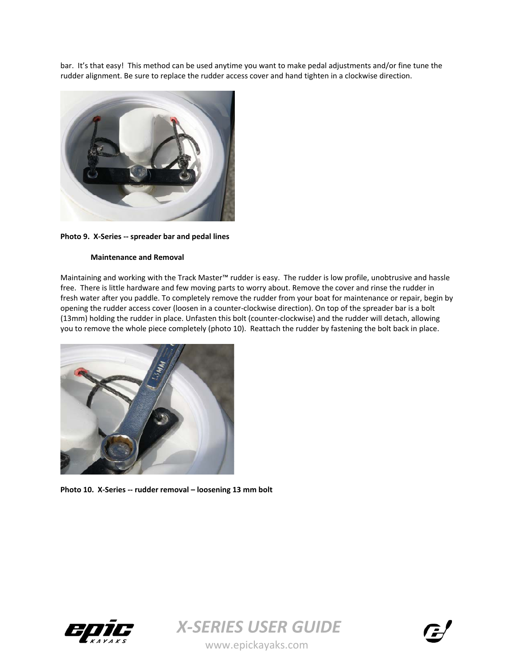bar. It's that easy! This method can be used anytime you want to make pedal adjustments and/or fine tune the rudder alignment. Be sure to replace the rudder access cover and hand tighten in a clockwise direction.



**Photo 9. X‐Series ‐‐ spreader bar and pedal lines**

#### **Maintenance and Removal**

Maintaining and working with the Track Master™ rudder is easy. The rudder is low profile, unobtrusive and hassle free. There is little hardware and few moving parts to worry about. Remove the cover and rinse the rudder in fresh water after you paddle. To completely remove the rudder from your boat for maintenance or repair, begin by opening the rudder access cover (loosen in a counter‐clockwise direction). On top of the spreader bar is a bolt (13mm) holding the rudder in place. Unfasten this bolt (counter‐clockwise) and the rudder will detach, allowing you to remove the whole piece completely (photo 10). Reattach the rudder by fastening the bolt back in place.



**Photo 10. X‐Series ‐‐ rudder removal – loosening 13 mm bolt**





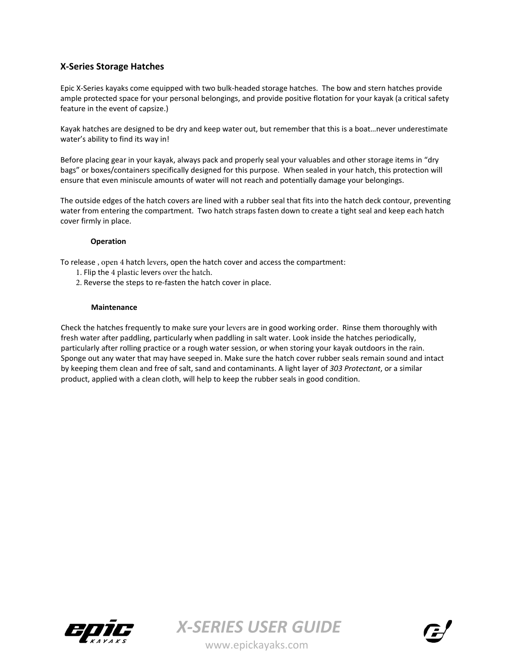# **X‐Series Storage Hatches**

Epic X‐Series kayaks come equipped with two bulk‐headed storage hatches. The bow and stern hatches provide ample protected space for your personal belongings, and provide positive flotation for your kayak (a critical safety feature in the event of capsize.)

Kayak hatches are designed to be dry and keep water out, but remember that this is a boat…never underestimate water's ability to find its way in!

Before placing gear in your kayak, always pack and properly seal your valuables and other storage items in "dry bags" or boxes/containers specifically designed for this purpose. When sealed in your hatch, this protection will ensure that even miniscule amounts of water will not reach and potentially damage your belongings.

The outside edges of the hatch covers are lined with a rubber seal that fits into the hatch deck contour, preventing water from entering the compartment. Two hatch straps fasten down to create a tight seal and keep each hatch cover firmly in place.

#### **Operation**

To release , open 4 hatch levers, open the hatch cover and access the compartment:

- 1. Flip the 4 plastic levers over the hatch.
- 2. Reverse the steps to re‐fasten the hatch cover in place.

#### **Maintenance**

Check the hatches frequently to make sure your levers are in good working order. Rinse them thoroughly with fresh water after paddling, particularly when paddling in salt water. Look inside the hatches periodically, particularly after rolling practice or a rough water session, or when storing your kayak outdoors in the rain. Sponge out any water that may have seeped in. Make sure the hatch cover rubber seals remain sound and intact by keeping them clean and free of salt, sand and contaminants. A light layer of *303 Protectant*, or a similar product, applied with a clean cloth, will help to keep the rubber seals in good condition.



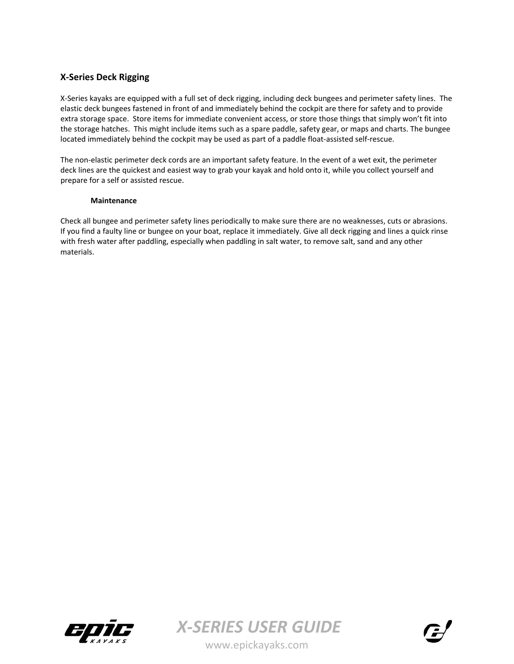# **X‐Series Deck Rigging**

X‐Series kayaks are equipped with a full set of deck rigging, including deck bungees and perimeter safety lines. The elastic deck bungees fastened in front of and immediately behind the cockpit are there for safety and to provide extra storage space. Store items for immediate convenient access, or store those things that simply won't fit into the storage hatches. This might include items such as a spare paddle, safety gear, or maps and charts. The bungee located immediately behind the cockpit may be used as part of a paddle float‐assisted self‐rescue.

The non-elastic perimeter deck cords are an important safety feature. In the event of a wet exit, the perimeter deck lines are the quickest and easiest way to grab your kayak and hold onto it, while you collect yourself and prepare for a self or assisted rescue.

#### **Maintenance**

Check all bungee and perimeter safety lines periodically to make sure there are no weaknesses, cuts or abrasions. If you find a faulty line or bungee on your boat, replace it immediately. Give all deck rigging and lines a quick rinse with fresh water after paddling, especially when paddling in salt water, to remove salt, sand and any other materials.



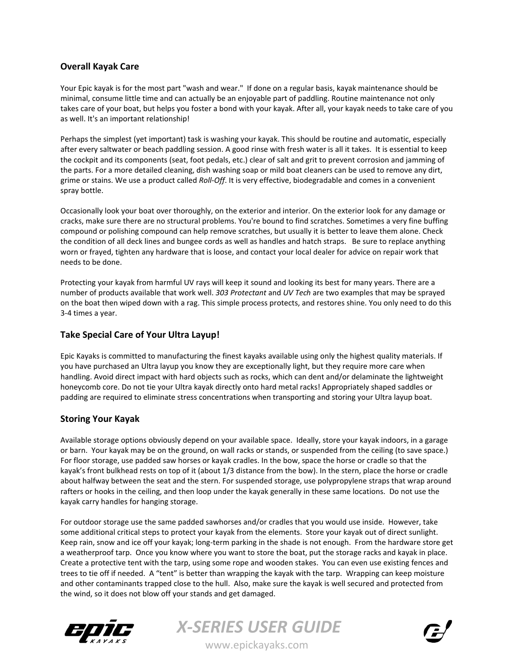# **Overall Kayak Care**

Your Epic kayak is for the most part "wash and wear." If done on a regular basis, kayak maintenance should be minimal, consume little time and can actually be an enjoyable part of paddling. Routine maintenance not only takes care of your boat, but helps you foster a bond with your kayak. After all, your kayak needs to take care of you as well. It's an important relationship!

Perhaps the simplest (yet important) task is washing your kayak. This should be routine and automatic, especially after every saltwater or beach paddling session. A good rinse with fresh water is all it takes. It is essential to keep the cockpit and its components (seat, foot pedals, etc.) clear of salt and grit to prevent corrosion and jamming of the parts. For a more detailed cleaning, dish washing soap or mild boat cleaners can be used to remove any dirt, grime or stains. We use a product called *Roll‐Off*. It is very effective, biodegradable and comes in a convenient spray bottle.

Occasionally look your boat over thoroughly, on the exterior and interior. On the exterior look for any damage or cracks, make sure there are no structural problems. You're bound to find scratches. Sometimes a very fine buffing compound or polishing compound can help remove scratches, but usually it is better to leave them alone. Check the condition of all deck lines and bungee cords as well as handles and hatch straps. Be sure to replace anything worn or frayed, tighten any hardware that is loose, and contact your local dealer for advice on repair work that needs to be done.

Protecting your kayak from harmful UV rays will keep it sound and looking its best for many years. There are a number of products available that work well. *303 Protectant* and *UV Tech* are two examples that may be sprayed on the boat then wiped down with a rag. This simple process protects, and restores shine. You only need to do this 3‐4 times a year.

# **Take Special Care of Your Ultra Layup!**

Epic Kayaks is committed to manufacturing the finest kayaks available using only the highest quality materials. If you have purchased an Ultra layup you know they are exceptionally light, but they require more care when handling. Avoid direct impact with hard objects such as rocks, which can dent and/or delaminate the lightweight honeycomb core. Do not tie your Ultra kayak directly onto hard metal racks! Appropriately shaped saddles or padding are required to eliminate stress concentrations when transporting and storing your Ultra layup boat.

# **Storing Your Kayak**

Available storage options obviously depend on your available space. Ideally, store your kayak indoors, in a garage or barn. Your kayak may be on the ground, on wall racks or stands, or suspended from the ceiling (to save space.) For floor storage, use padded saw horses or kayak cradles. In the bow, space the horse or cradle so that the kayak's front bulkhead rests on top of it (about 1/3 distance from the bow). In the stern, place the horse or cradle about halfway between the seat and the stern. For suspended storage, use polypropylene straps that wrap around rafters or hooks in the ceiling, and then loop under the kayak generally in these same locations. Do not use the kayak carry handles for hanging storage.

For outdoor storage use the same padded sawhorses and/or cradles that you would use inside. However, take some additional critical steps to protect your kayak from the elements. Store your kayak out of direct sunlight. Keep rain, snow and ice off your kayak; long-term parking in the shade is not enough. From the hardware store get a weatherproof tarp. Once you know where you want to store the boat, put the storage racks and kayak in place. Create a protective tent with the tarp, using some rope and wooden stakes. You can even use existing fences and trees to tie off if needed. A "tent" is better than wrapping the kayak with the tarp. Wrapping can keep moisture and other contaminants trapped close to the hull. Also, make sure the kayak is well secured and protected from the wind, so it does not blow off your stands and get damaged.





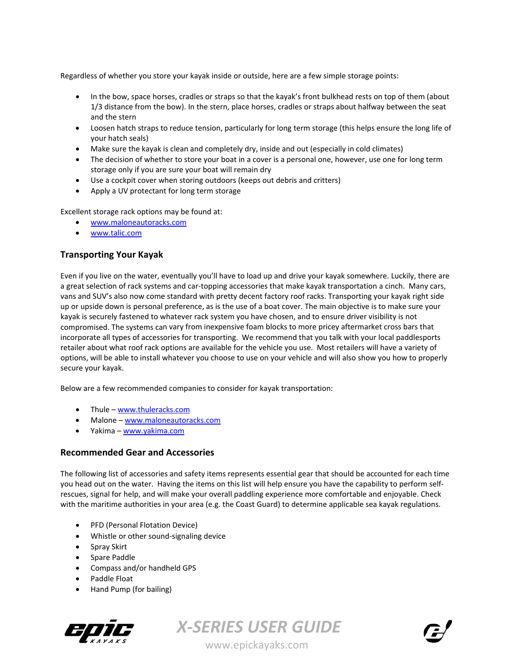Regardless of whether you store your kayak inside or outside, here are a few simple storage points:

- In the bow, space horses, cradles or straps so that the kayak's front bulkhead rests on top of them (about 1/3 distance from the bow). In the stern, place horses, cradles or straps about halfway between the seat and the stern
- Loosen hatch straps to reduce tension, particularly for long term storage (this helps ensure the long life of your hatch seals)
- Make sure the kayak is clean and completely dry, inside and out (especially in cold climates)
- The decision of whether to store your boat in a cover is a personal one, however, use one for long term storage only if you are sure your boat will remain dry
- Use a cockpit cover when storing outdoors (keeps out debris and critters)
- Apply a UV protectant for long term storage

Excellent storage rack options may be found at:

- www.maloneautoracks.com
- www.talic.com

# **Transporting Your Kayak**

Even if you live on the water, eventually you'll have to load up and drive your kayak somewhere. Luckily, there are a great selection of rack systems and car-topping accessories that make kayak transportation a cinch. Many cars, vans and SUV's also now come standard with pretty decent factory roof racks. Transporting your kayak right side up or upside down is personal preference, as is the use of a boat cover. The main objective is to make sure your kayak is securely fastened to whatever rack system you have chosen, and to ensure driver visibility is not compromised. The systems can vary from inexpensive foam blocks to more pricey aftermarket cross bars that incorporate all types of accessories for transporting. We recommend that you talk with your local paddlesports retailer about what roof rack options are available for the vehicle you use. Most retailers will have a variety of options, will be able to install whatever you choose to use on your vehicle and will also show you how to properly secure your kayak.

Below are a few recommended companies to consider for kayak transportation:

- Thule www.thuleracks.com
- Malone www.maloneautoracks.com
- Yakima www.yakima.com

## **Recommended Gear and Accessories**

The following list of accessories and safety items represents essential gear that should be accounted for each time you head out on the water. Having the items on this list will help ensure you have the capability to perform self‐ rescues, signal for help, and will make your overall paddling experience more comfortable and enjoyable. Check with the maritime authorities in your area (e.g. the Coast Guard) to determine applicable sea kayak regulations.

- PFD (Personal Flotation Device)
- Whistle or other sound‐signaling device
- Spray Skirt
- Spare Paddle
- Compass and/or handheld GPS
- Paddle Float
- Hand Pump (for bailing)